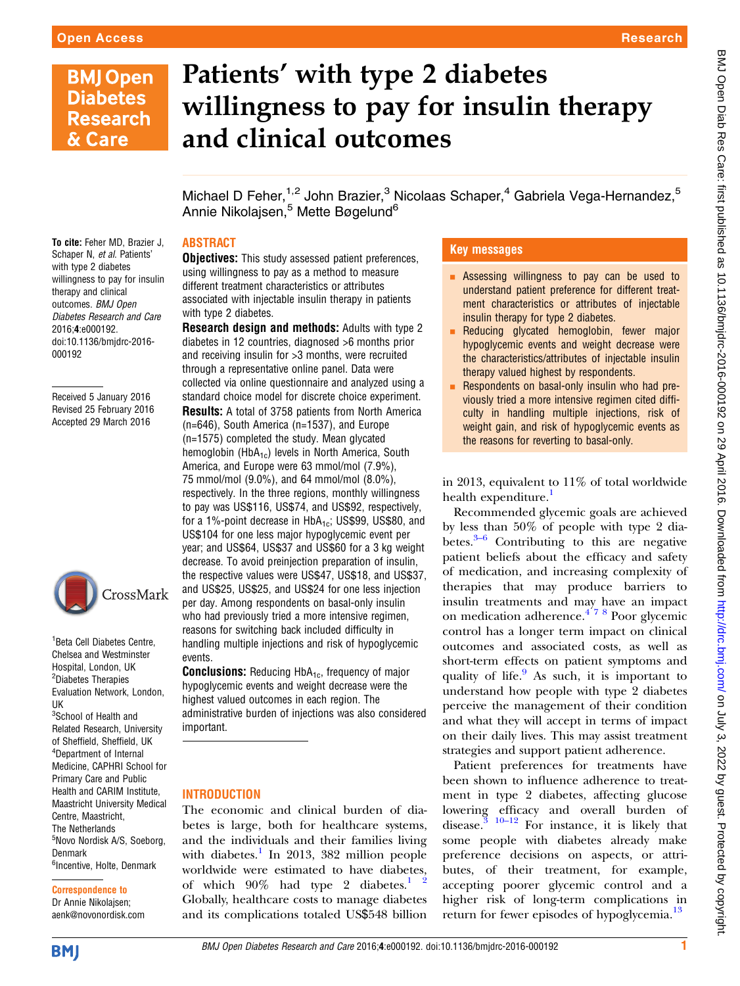# **BMJ Open Diabetes Research** & Care

# Patients' with type 2 diabetes willingness to pay for insulin therapy and clinical outcomes

Michael D Feher,  $1,2$  John Brazier,  $3$  Nicolaas Schaper,  $4$  Gabriela Vega-Hernandez,  $5$ Annie Nikolajsen,<sup>5</sup> Mette Bøgelund<sup>6</sup>

# ABSTRACT

To cite: Feher MD, Brazier J, Schaper N, et al. Patients' with type 2 diabetes willingness to pay for insulin therapy and clinical outcomes. BMJ Open Diabetes Research and Care 2016;4:e000192. doi:10.1136/bmjdrc-2016- 000192

Received 5 January 2016 Revised 25 February 2016 Accepted 29 March 2016



1 Beta Cell Diabetes Centre, Chelsea and Westminster Hospital, London, UK <sup>2</sup>Diabetes Therapies Evaluation Network, London, UK <sup>3</sup>School of Health and Related Research, University of Sheffield, Sheffield, UK 4 Department of Internal Medicine, CAPHRI School for Primary Care and Public Health and CARIM Institute, Maastricht University Medical Centre, Maastricht, The Netherlands <sup>5</sup>Novo Nordisk A/S, Soeborg, Denmark <sup>6</sup>Incentive, Holte, Denmark

#### Correspondence to Dr Annie Nikolajsen; aenk@novonordisk.com

**Objectives:** This study assessed patient preferences, using willingness to pay as a method to measure different treatment characteristics or attributes associated with injectable insulin therapy in patients with type 2 diabetes.

Research design and methods: Adults with type 2 diabetes in 12 countries, diagnosed >6 months prior and receiving insulin for >3 months, were recruited through a representative online panel. Data were collected via online questionnaire and analyzed using a standard choice model for discrete choice experiment. Results: A total of 3758 patients from North America (n=646), South America (n=1537), and Europe (n=1575) completed the study. Mean glycated hemoglobin ( $HbA_{1c}$ ) levels in North America, South America, and Europe were 63 mmol/mol (7.9%), 75 mmol/mol (9.0%), and 64 mmol/mol (8.0%), respectively. In the three regions, monthly willingness to pay was US\$116, US\$74, and US\$92, respectively, for a 1%-point decrease in  $HbA_{1c}$ ; US\$99, US\$80, and US\$104 for one less major hypoglycemic event per year; and US\$64, US\$37 and US\$60 for a 3 kg weight decrease. To avoid preinjection preparation of insulin, the respective values were US\$47, US\$18, and US\$37, and US\$25, US\$25, and US\$24 for one less injection per day. Among respondents on basal-only insulin who had previously tried a more intensive regimen, reasons for switching back included difficulty in handling multiple injections and risk of hypoglycemic events.

**Conclusions:** Reducing HbA<sub>1c</sub>, frequency of major hypoglycemic events and weight decrease were the highest valued outcomes in each region. The administrative burden of injections was also considered important.

### INTRODUCTION

The economic and clinical burden of diabetes is large, both for healthcare systems, and the individuals and their families living with diabetes. $\frac{1}{1}$  $\frac{1}{1}$  $\frac{1}{1}$  In 2013, 382 million people worldwide were estimated to have diabetes, of which  $90\%$  had type 2 diabetes.<sup>1</sup> <sup>2</sup> Globally, healthcare costs to manage diabetes and its complications totaled US\$548 billion

# Key messages

- **Example 3 Assessing willingness to pay can be used to** understand patient preference for different treatment characteristics or attributes of injectable insulin therapy for type 2 diabetes.
- **E** Reducing glycated hemoglobin, fewer major hypoglycemic events and weight decrease were the characteristics/attributes of injectable insulin therapy valued highest by respondents.
- **EXECUTE:** Respondents on basal-only insulin who had previously tried a more intensive regimen cited difficulty in handling multiple injections, risk of weight gain, and risk of hypoglycemic events as the reasons for reverting to basal-only.

in 2013, equivalent to 11% of total worldwide health expenditure.<sup>1</sup>

Recommended glycemic goals are achieved by less than 50% of people with type 2 diabetes. $3-6$  $3-6$  Contributing to this are negative patient beliefs about the efficacy and safety of medication, and increasing complexity of therapies that may produce barriers to insulin treatments and may have an impact on medication adherence. $4^{7}$ <sup>8</sup> Poor glycemic control has a longer term impact on clinical outcomes and associated costs, as well as short-term effects on patient symptoms and quality of life. $\frac{9}{8}$  $\frac{9}{8}$  $\frac{9}{8}$  As such, it is important to understand how people with type 2 diabetes perceive the management of their condition and what they will accept in terms of impact on their daily lives. This may assist treatment strategies and support patient adherence.

Patient preferences for treatments have been shown to influence adherence to treatment in type 2 diabetes, affecting glucose lowering efficacy and overall burden of disease.<sup>3</sup>  $10-12$  For instance, it is likely that some people with diabetes already make preference decisions on aspects, or attributes, of their treatment, for example, accepting poorer glycemic control and a higher risk of long-term complications in return for fewer episodes of hypoglycemia.<sup>[13](#page-8-0)</sup>

**BMJ**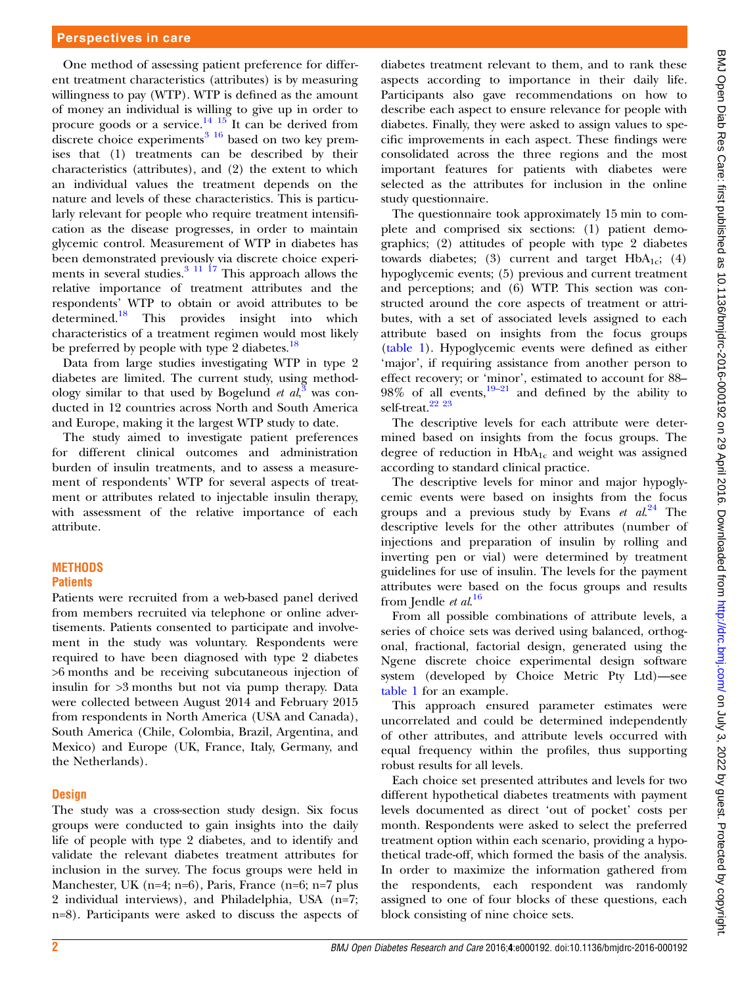One method of assessing patient preference for different treatment characteristics (attributes) is by measuring willingness to pay (WTP). WTP is defined as the amount of money an individual is willing to give up in order to procure goods or a service.<sup>14</sup> <sup>15</sup> It can be derived from discrete choice experiments $316$  based on two key premises that (1) treatments can be described by their characteristics (attributes), and (2) the extent to which an individual values the treatment depends on the nature and levels of these characteristics. This is particularly relevant for people who require treatment intensification as the disease progresses, in order to maintain glycemic control. Measurement of WTP in diabetes has been demonstrated previously via discrete choice experiments in several studies. $3 \frac{11}{17}$  This approach allows the relative importance of treatment attributes and the respondents' WTP to obtain or avoid attributes to be determined.[18](#page-8-0) This provides insight into which characteristics of a treatment regimen would most likely be preferred by people with type 2 diabetes.<sup>[18](#page-8-0)</sup>

Data from large studies investigating WTP in type 2 diabetes are limited. The current study, using methodology similar to that used by Bogelund et  $al$ , was conducted in 12 countries across North and South America and Europe, making it the largest WTP study to date.

The study aimed to investigate patient preferences for different clinical outcomes and administration burden of insulin treatments, and to assess a measurement of respondents' WTP for several aspects of treatment or attributes related to injectable insulin therapy, with assessment of the relative importance of each attribute.

#### **METHODS Patients**

Patients were recruited from a web-based panel derived from members recruited via telephone or online advertisements. Patients consented to participate and involvement in the study was voluntary. Respondents were required to have been diagnosed with type 2 diabetes >6 months and be receiving subcutaneous injection of insulin for >3 months but not via pump therapy. Data were collected between August 2014 and February 2015 from respondents in North America (USA and Canada), South America (Chile, Colombia, Brazil, Argentina, and Mexico) and Europe (UK, France, Italy, Germany, and the Netherlands).

#### **Design**

The study was a cross-section study design. Six focus groups were conducted to gain insights into the daily life of people with type 2 diabetes, and to identify and validate the relevant diabetes treatment attributes for inclusion in the survey. The focus groups were held in Manchester, UK (n=4; n=6), Paris, France (n=6; n=7 plus 2 individual interviews), and Philadelphia, USA (n=7; n=8). Participants were asked to discuss the aspects of

diabetes treatment relevant to them, and to rank these aspects according to importance in their daily life. Participants also gave recommendations on how to describe each aspect to ensure relevance for people with diabetes. Finally, they were asked to assign values to specific improvements in each aspect. These findings were consolidated across the three regions and the most important features for patients with diabetes were selected as the attributes for inclusion in the online study questionnaire.

The questionnaire took approximately 15 min to complete and comprised six sections: (1) patient demographics; (2) attitudes of people with type 2 diabetes towards diabetes; (3) current and target  $HbA_{1c}$ ; (4) hypoglycemic events; (5) previous and current treatment and perceptions; and (6) WTP. This section was constructed around the core aspects of treatment or attributes, with a set of associated levels assigned to each attribute based on insights from the focus groups [\(table 1](#page-2-0)). Hypoglycemic events were defined as either 'major', if requiring assistance from another person to effect recovery; or 'minor', estimated to account for 88–  $98\%$  of all events,  $19-21$  $19-21$  and defined by the ability to self-treat.<sup>22</sup> <sup>23</sup>

The descriptive levels for each attribute were determined based on insights from the focus groups. The degree of reduction in  $HbA_{1c}$  and weight was assigned according to standard clinical practice.

The descriptive levels for minor and major hypoglycemic events were based on insights from the focus groups and a previous study by Evans et  $al^{24}$  $al^{24}$  $al^{24}$  The descriptive levels for the other attributes (number of injections and preparation of insulin by rolling and inverting pen or vial) were determined by treatment guidelines for use of insulin. The levels for the payment attributes were based on the focus groups and results from Jendle *et al.*<sup>[16](#page-8-0)</sup>

From all possible combinations of attribute levels, a series of choice sets was derived using balanced, orthogonal, fractional, factorial design, generated using the Ngene discrete choice experimental design software system (developed by Choice Metric Pty Ltd)—see [table 1](#page-2-0) for an example.

This approach ensured parameter estimates were uncorrelated and could be determined independently of other attributes, and attribute levels occurred with equal frequency within the profiles, thus supporting robust results for all levels.

Each choice set presented attributes and levels for two different hypothetical diabetes treatments with payment levels documented as direct 'out of pocket' costs per month. Respondents were asked to select the preferred treatment option within each scenario, providing a hypothetical trade-off, which formed the basis of the analysis. In order to maximize the information gathered from the respondents, each respondent was randomly assigned to one of four blocks of these questions, each block consisting of nine choice sets.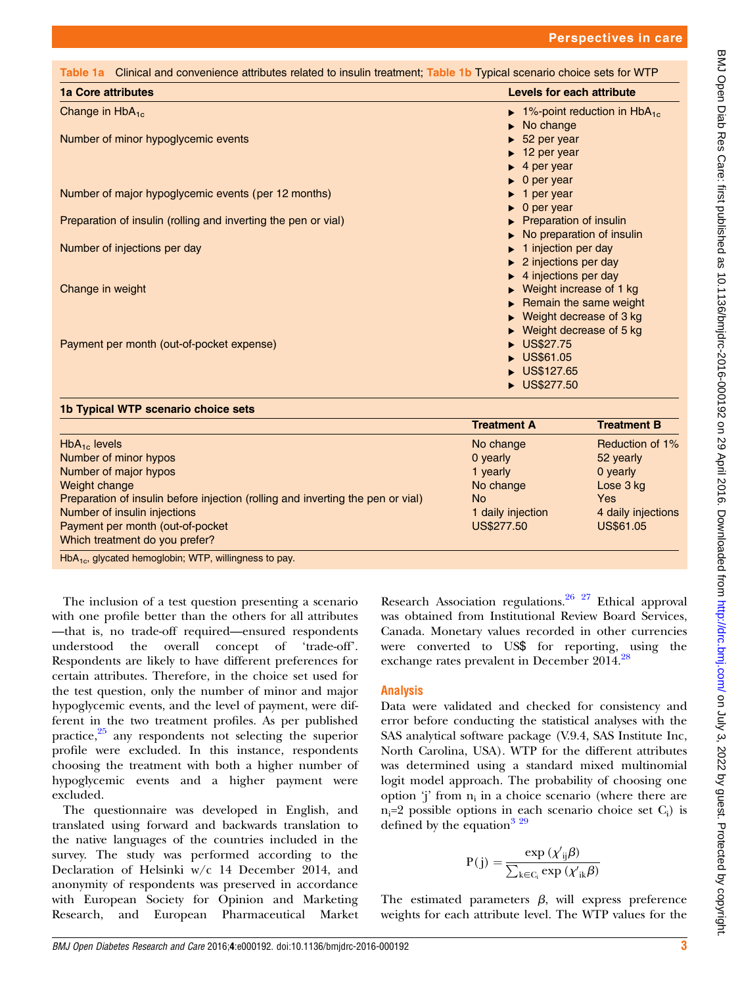<span id="page-2-0"></span>

| <b>1a Core attributes</b>                                      | Levels for each attribute                                     |  |  |
|----------------------------------------------------------------|---------------------------------------------------------------|--|--|
| Change in $HbA_{1c}$                                           | $\blacktriangleright$ 1%-point reduction in HbA <sub>1c</sub> |  |  |
|                                                                | $\triangleright$ No change                                    |  |  |
| Number of minor hypoglycemic events                            | $\blacktriangleright$ 52 per year                             |  |  |
|                                                                | $\blacktriangleright$ 12 per year                             |  |  |
|                                                                | $\blacktriangleright$ 4 per year                              |  |  |
|                                                                | $\bullet$ 0 per year                                          |  |  |
| Number of major hypoglycemic events (per 12 months)            | $\blacktriangleright$ 1 per year                              |  |  |
|                                                                | $\bullet$ 0 per year                                          |  |  |
| Preparation of insulin (rolling and inverting the pen or vial) | ▶ Preparation of insulin                                      |  |  |
|                                                                | No preparation of insulin                                     |  |  |
| Number of injections per day                                   | 1 injection per day                                           |  |  |
|                                                                | $\blacktriangleright$ 2 injections per day                    |  |  |
|                                                                | $\blacktriangleright$ 4 injections per day                    |  |  |
| Change in weight                                               | $\triangleright$ Weight increase of 1 kg                      |  |  |
|                                                                | Remain the same weight                                        |  |  |
|                                                                | $\triangleright$ Weight decrease of 3 kg                      |  |  |
|                                                                | $\triangleright$ Weight decrease of 5 kg                      |  |  |
| Payment per month (out-of-pocket expense)                      | US\$27.75                                                     |  |  |
|                                                                | US\$61.05                                                     |  |  |
|                                                                | US\$127.65                                                    |  |  |
|                                                                | US\$277.50                                                    |  |  |
| 1b Typical WTP scenario choice sets                            |                                                               |  |  |
|                                                                | <b>Treatment A</b><br><b>Treatment B</b>                      |  |  |

|                                                                                 | Treatment A       | <b>Treatment B</b> |
|---------------------------------------------------------------------------------|-------------------|--------------------|
| $HbA_{1c}$ levels                                                               | No change         | Reduction of 1%    |
| Number of minor hypos                                                           | 0 yearly          | 52 yearly          |
| Number of major hypos                                                           | 1 yearly          | 0 yearly           |
| Weight change                                                                   | No change         | Lose 3 kg          |
| Preparation of insulin before injection (rolling and inverting the pen or vial) | No.               | Yes                |
| Number of insulin injections                                                    | 1 daily injection | 4 daily injections |
| Payment per month (out-of-pocket                                                | US\$277.50        | US\$61.05          |
| Which treatment do you prefer?                                                  |                   |                    |
|                                                                                 |                   |                    |

 $HbA_{1c}$ , glycated hemoglobin; WTP, willingness to pay.

The inclusion of a test question presenting a scenario with one profile better than the others for all attributes —that is, no trade-off required—ensured respondents understood the overall concept of 'trade-off'. Respondents are likely to have different preferences for certain attributes. Therefore, in the choice set used for the test question, only the number of minor and major hypoglycemic events, and the level of payment, were different in the two treatment profiles. As per published practice, $25$  any respondents not selecting the superior profile were excluded. In this instance, respondents choosing the treatment with both a higher number of hypoglycemic events and a higher payment were excluded.

The questionnaire was developed in English, and translated using forward and backwards translation to the native languages of the countries included in the survey. The study was performed according to the Declaration of Helsinki w/c 14 December 2014, and anonymity of respondents was preserved in accordance with European Society for Opinion and Marketing Research, and European Pharmaceutical Market

Research Association regulations.<sup>26</sup> <sup>27</sup> Ethical approval was obtained from Institutional Review Board Services, Canada. Monetary values recorded in other currencies were converted to US\$ for reporting, using the exchange rates prevalent in December 2014.<sup>[28](#page-8-0)</sup>

### Analysis

Data were validated and checked for consistency and error before conducting the statistical analyses with the SAS analytical software package (V.9.4, SAS Institute Inc, North Carolina, USA). WTP for the different attributes was determined using a standard mixed multinomial logit model approach. The probability of choosing one option 'j' from  $n_i$  in a choice scenario (where there are  $n_i=2$  possible options in each scenario choice set  $C_i$ ) is defined by the equation<sup>[3 29](#page-8-0)</sup>

$$
P(j) = \frac{\exp{(\chi_{ij}'\beta)}}{\sum_{k \in C_i} \exp{(\chi_{ik}'\beta)}}
$$

The estimated parameters  $\beta$ , will express preference weights for each attribute level. The WTP values for the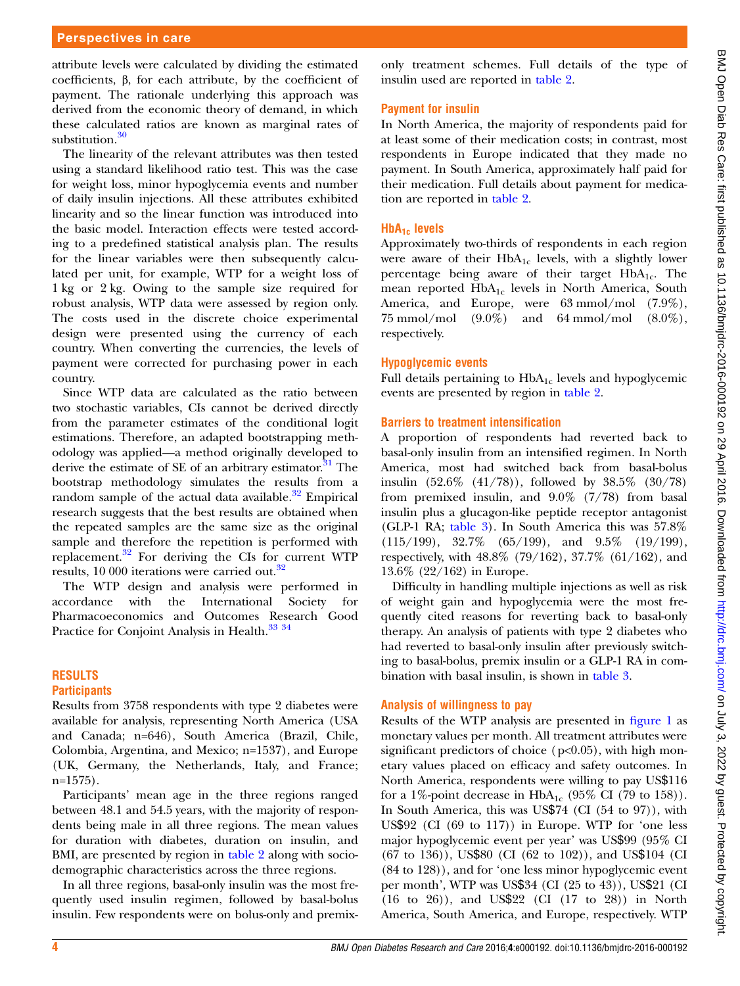#### Perspectives in care

attribute levels were calculated by dividing the estimated coefficients, β, for each attribute, by the coefficient of payment. The rationale underlying this approach was derived from the economic theory of demand, in which these calculated ratios are known as marginal rates of substitution.<sup>[30](#page-8-0)</sup>

The linearity of the relevant attributes was then tested using a standard likelihood ratio test. This was the case for weight loss, minor hypoglycemia events and number of daily insulin injections. All these attributes exhibited linearity and so the linear function was introduced into the basic model. Interaction effects were tested according to a predefined statistical analysis plan. The results for the linear variables were then subsequently calculated per unit, for example, WTP for a weight loss of 1 kg or 2 kg. Owing to the sample size required for robust analysis, WTP data were assessed by region only. The costs used in the discrete choice experimental design were presented using the currency of each country. When converting the currencies, the levels of payment were corrected for purchasing power in each country.

Since WTP data are calculated as the ratio between two stochastic variables, CIs cannot be derived directly from the parameter estimates of the conditional logit estimations. Therefore, an adapted bootstrapping methodology was applied—a method originally developed to derive the estimate of SE of an arbitrary estimator. $31$  The bootstrap methodology simulates the results from a random sample of the actual data available. $32^{\circ}$  $32^{\circ}$  Empirical research suggests that the best results are obtained when the repeated samples are the same size as the original sample and therefore the repetition is performed with replacement.[32](#page-8-0) For deriving the CIs for current WTP results, 10 000 iterations were carried out.[32](#page-8-0)

The WTP design and analysis were performed in accordance with the International Society for Pharmacoeconomics and Outcomes Research Good Practice for Conjoint Analysis in Health.<sup>[33 34](#page-8-0)</sup>

#### RESULTS **Participants**

Results from 3758 respondents with type 2 diabetes were available for analysis, representing North America (USA and Canada; n=646), South America (Brazil, Chile, Colombia, Argentina, and Mexico; n=1537), and Europe (UK, Germany, the Netherlands, Italy, and France; n=1575).

Participants' mean age in the three regions ranged between 48.1 and 54.5 years, with the majority of respondents being male in all three regions. The mean values for duration with diabetes, duration on insulin, and BMI, are presented by region in [table 2](#page-4-0) along with sociodemographic characteristics across the three regions.

In all three regions, basal-only insulin was the most frequently used insulin regimen, followed by basal-bolus insulin. Few respondents were on bolus-only and premix-

only treatment schemes. Full details of the type of insulin used are reported in [table 2](#page-4-0).

#### Payment for insulin

In North America, the majority of respondents paid for at least some of their medication costs; in contrast, most respondents in Europe indicated that they made no payment. In South America, approximately half paid for their medication. Full details about payment for medication are reported in [table 2](#page-4-0).

#### $HbA_{1c}$  levels

Approximately two-thirds of respondents in each region were aware of their  $HbA_{1c}$  levels, with a slightly lower percentage being aware of their target  $HbA_{1c}$ . The mean reported  $HbA_{1c}$  levels in North America, South America, and Europe, were 63 mmol/mol (7.9%), 75 mmol/mol  $(9.0\%)$  and 64 mmol/mol  $(8.0\%)$ , respectively.

#### Hypoglycemic events

Full details pertaining to  $HbA_{1c}$  levels and hypoglycemic events are presented by region in [table 2](#page-4-0).

#### Barriers to treatment intensification

A proportion of respondents had reverted back to basal-only insulin from an intensified regimen. In North America, most had switched back from basal-bolus insulin (52.6% (41/78)), followed by 38.5% (30/78) from premixed insulin, and 9.0% (7/78) from basal insulin plus a glucagon-like peptide receptor antagonist (GLP-1 RA; [table 3\)](#page-5-0). In South America this was 57.8%  $(115/199)$ ,  $32.7\%$   $(65/199)$ , and  $9.5\%$   $(19/199)$ , respectively, with 48.8% (79/162), 37.7% (61/162), and 13.6% (22/162) in Europe.

Difficulty in handling multiple injections as well as risk of weight gain and hypoglycemia were the most frequently cited reasons for reverting back to basal-only therapy. An analysis of patients with type 2 diabetes who had reverted to basal-only insulin after previously switching to basal-bolus, premix insulin or a GLP-1 RA in combination with basal insulin, is shown in [table 3](#page-5-0).

#### Analysis of willingness to pay

Results of the WTP analysis are presented in fi[gure 1](#page-5-0) as monetary values per month. All treatment attributes were significant predictors of choice  $(p<0.05)$ , with high monetary values placed on efficacy and safety outcomes. In North America, respondents were willing to pay US\$116 for a 1%-point decrease in  $HbA_{1c}$  (95% CI (79 to 158)). In South America, this was US\$74 (CI (54 to 97)), with US\$92 (CI (69 to 117)) in Europe. WTP for 'one less major hypoglycemic event per year' was US\$99 (95% CI (67 to 136)), US\$80 (CI (62 to 102)), and US\$104 (CI (84 to 128)), and for 'one less minor hypoglycemic event per month', WTP was US\$34 (CI (25 to 43)), US\$21 (CI (16 to 26)), and US\$22 (CI (17 to 28)) in North America, South America, and Europe, respectively. WTP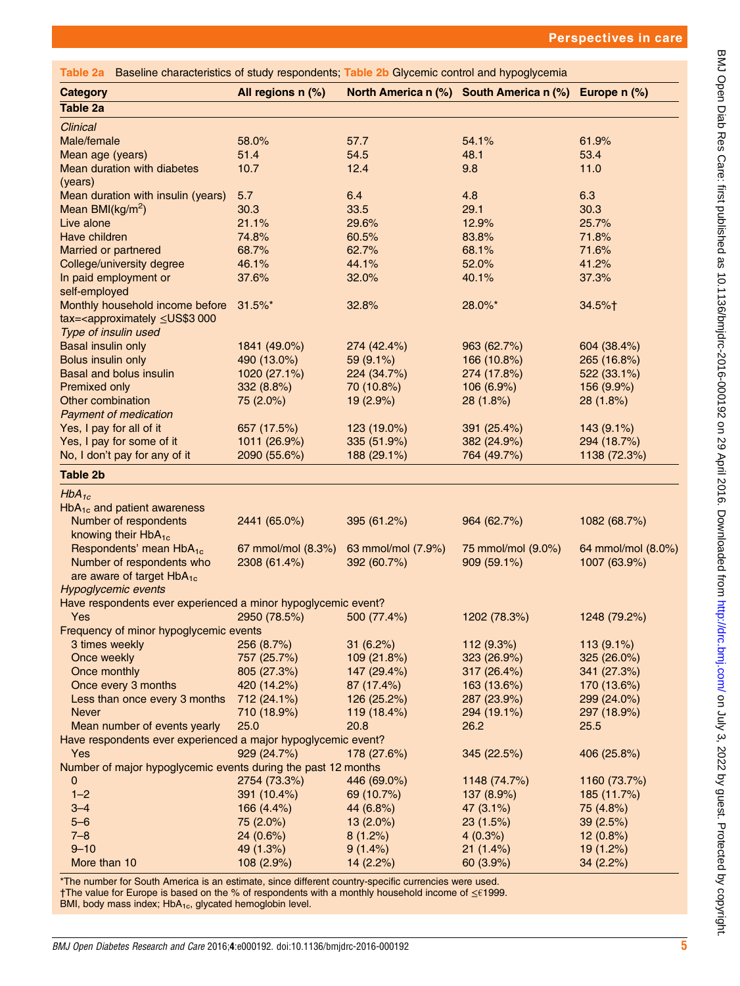<span id="page-4-0"></span>

| Table 2a Baseline characteristics of study respondents; Table 2b Glycemic control and hypoglycemia |                    |                    |                                         |                    |
|----------------------------------------------------------------------------------------------------|--------------------|--------------------|-----------------------------------------|--------------------|
| <b>Category</b>                                                                                    | All regions n (%)  |                    | North America n (%) South America n (%) | Europe $n$ $(\%)$  |
| <b>Table 2a</b>                                                                                    |                    |                    |                                         |                    |
| Clinical                                                                                           |                    |                    |                                         |                    |
| Male/female                                                                                        | 58.0%              | 57.7               | 54.1%                                   | 61.9%              |
| Mean age (years)                                                                                   | 51.4               | 54.5               | 48.1                                    | 53.4               |
| Mean duration with diabetes                                                                        | 10.7               | 12.4               | 9.8                                     | 11.0               |
| (years)                                                                                            |                    |                    |                                         |                    |
| Mean duration with insulin (years)                                                                 | 5.7                | 6.4                | 4.8                                     | 6.3                |
| Mean BMI( $kg/m2$ )                                                                                | 30.3               | 33.5               | 29.1                                    | 30.3               |
| Live alone                                                                                         | 21.1%              | 29.6%              | 12.9%                                   | 25.7%              |
| Have children                                                                                      | 74.8%              | 60.5%              | 83.8%                                   | 71.8%              |
| <b>Married or partnered</b>                                                                        | 68.7%              | 62.7%              | 68.1%                                   | 71.6%              |
| College/university degree                                                                          | 46.1%              | 44.1%              | 52.0%                                   | 41.2%              |
| In paid employment or                                                                              | 37.6%              | 32.0%              | 40.1%                                   | 37.3%              |
| self-employed                                                                                      |                    |                    |                                         |                    |
| Monthly household income before                                                                    | $31.5\%$ *         | 32.8%              | 28.0%*                                  | 34.5%†             |
| tax= <approximately 000<="" td="" ≤us\$3=""><td></td><td></td><td></td><td></td></approximately>   |                    |                    |                                         |                    |
| Type of insulin used                                                                               |                    |                    |                                         |                    |
| <b>Basal insulin only</b>                                                                          | 1841 (49.0%)       | 274 (42.4%)        | 963 (62.7%)                             | 604 (38.4%)        |
| <b>Bolus insulin only</b>                                                                          | 490 (13.0%)        | 59 (9.1%)          | 166 (10.8%)                             | 265 (16.8%)        |
| <b>Basal and bolus insulin</b>                                                                     | 1020 (27.1%)       | 224 (34.7%)        | 274 (17.8%)                             | 522 (33.1%)        |
| <b>Premixed only</b>                                                                               | 332 (8.8%)         | 70 (10.8%)         | 106(6.9%)                               | 156 (9.9%)         |
| Other combination                                                                                  | 75 (2.0%)          | 19 (2.9%)          | 28(1.8%)                                | 28(1.8%)           |
| <b>Payment of medication</b>                                                                       |                    |                    |                                         |                    |
| Yes, I pay for all of it                                                                           | 657 (17.5%)        | 123 (19.0%)        | 391 (25.4%)                             | 143 (9.1%)         |
| Yes, I pay for some of it                                                                          | 1011 (26.9%)       | 335 (51.9%)        | 382 (24.9%)                             | 294 (18.7%)        |
| No, I don't pay for any of it                                                                      | 2090 (55.6%)       | 188 (29.1%)        | 764 (49.7%)                             | 1138 (72.3%)       |
| <b>Table 2b</b>                                                                                    |                    |                    |                                         |                    |
|                                                                                                    |                    |                    |                                         |                    |
| $HbA_{1c}$                                                                                         |                    |                    |                                         |                    |
| HbA <sub>1c</sub> and patient awareness                                                            |                    |                    |                                         |                    |
| Number of respondents                                                                              | 2441 (65.0%)       | 395 (61.2%)        | 964 (62.7%)                             | 1082 (68.7%)       |
| knowing their HbA <sub>1c</sub>                                                                    |                    |                    |                                         |                    |
| Respondents' mean HbA <sub>1c</sub>                                                                | 67 mmol/mol (8.3%) | 63 mmol/mol (7.9%) | 75 mmol/mol (9.0%)                      | 64 mmol/mol (8.0%) |
| Number of respondents who                                                                          | 2308 (61.4%)       | 392 (60.7%)        | 909 (59.1%)                             | 1007 (63.9%)       |
| are aware of target $HbA_{1c}$                                                                     |                    |                    |                                         |                    |
| <b>Hypoglycemic events</b>                                                                         |                    |                    |                                         |                    |
| Have respondents ever experienced a minor hypoglycemic event?                                      |                    |                    |                                         |                    |
| Yes                                                                                                | 2950 (78.5%)       | 500 (77.4%)        | 1202 (78.3%)                            | 1248 (79.2%)       |
| Frequency of minor hypoglycemic events                                                             |                    |                    |                                         |                    |
| 3 times weekly                                                                                     | 256 (8.7%)         | 31(6.2%)           | 112 (9.3%)                              | 113 (9.1%)         |
| Once weekly                                                                                        | 757 (25.7%)        | 109 (21.8%)        | 323 (26.9%)                             | 325 (26.0%)        |
| Once monthly                                                                                       | 805 (27.3%)        | 147 (29.4%)        | 317 (26.4%)                             | 341 (27.3%)        |
| Once every 3 months                                                                                | 420 (14.2%)        | 87 (17.4%)         | 163 (13.6%)                             | 170 (13.6%)        |
| Less than once every 3 months                                                                      | 712 (24.1%)        | 126 (25.2%)        | 287 (23.9%)                             | 299 (24.0%)        |
| <b>Never</b>                                                                                       | 710 (18.9%)        | 119 (18.4%)        | 294 (19.1%)                             | 297 (18.9%)        |
| Mean number of events yearly                                                                       | 25.0               | 20.8               | 26.2                                    | 25.5               |
| Have respondents ever experienced a major hypoglycemic event?                                      |                    |                    |                                         |                    |
| Yes                                                                                                | 929 (24.7%)        | 178 (27.6%)        | 345 (22.5%)                             | 406 (25.8%)        |
| Number of major hypoglycemic events during the past 12 months                                      |                    |                    |                                         |                    |
| 0                                                                                                  | 2754 (73.3%)       | 446 (69.0%)        | 1148 (74.7%)                            | 1160 (73.7%)       |
| $1 - 2$                                                                                            | 391 (10.4%)        | 69 (10.7%)         | 137 (8.9%)                              | 185 (11.7%)        |
| $3 - 4$                                                                                            | 166 (4.4%)         | 44 (6.8%)          | 47 (3.1%)                               | 75 (4.8%)          |
| $5 - 6$                                                                                            | 75 (2.0%)          | $13(2.0\%)$        | 23(1.5%)                                | 39(2.5%)           |
| $7 - 8$                                                                                            | 24 (0.6%)          | 8(1.2%)            | 4(0.3%)                                 | 12(0.8%)           |
| $9 - 10$                                                                                           | 49 (1.3%)          | $9(1.4\%)$         | 21(1.4%)                                | 19 (1.2%)          |
| More than 10                                                                                       | 108 (2.9%)         | 14(2.2%)           | 60 (3.9%)                               | 34(2.2%)           |
|                                                                                                    |                    |                    |                                         |                    |

\*The number for South America is an estimate, since different country-specific currencies were used. †The value for Europe is based on the % of respondents with a monthly household income of ≤€1999. BMI, body mass index;  $HbA_{1c}$ , glycated hemoglobin level.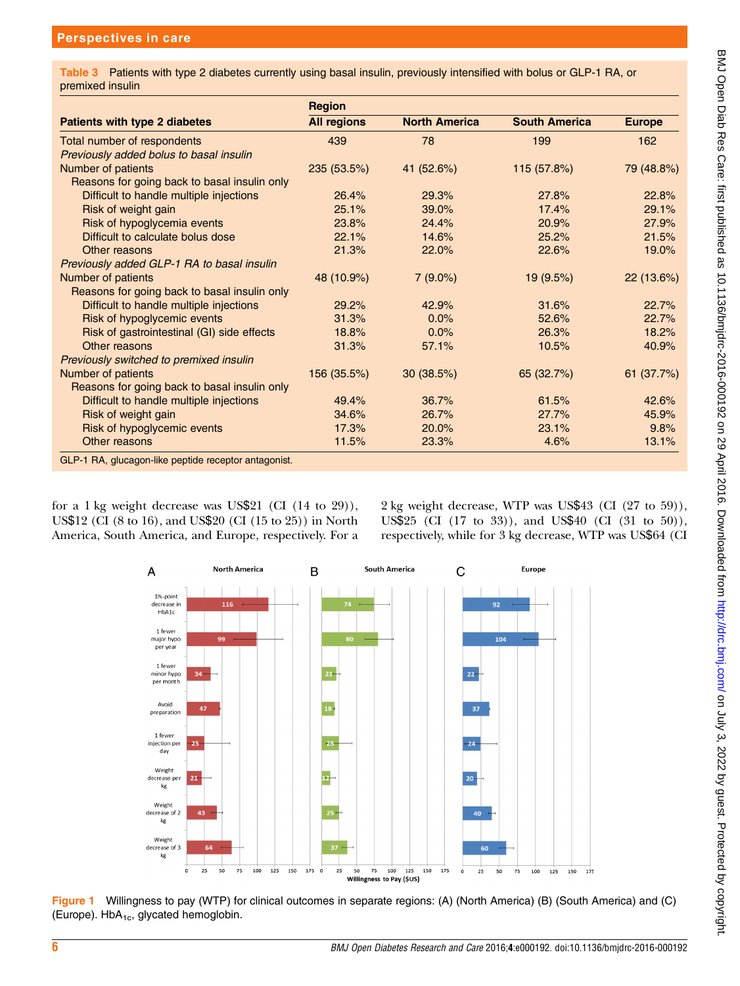<span id="page-5-0"></span>Table 3 Patients with type 2 diabetes currently using basal insulin, previously intensified with bolus or GLP-1 RA, or premixed insulin

|                                                      | <b>Region</b>      |                      |                      |               |
|------------------------------------------------------|--------------------|----------------------|----------------------|---------------|
| <b>Patients with type 2 diabetes</b>                 | <b>All regions</b> | <b>North America</b> | <b>South America</b> | <b>Europe</b> |
| Total number of respondents                          | 439                | 78                   | 199                  | 162           |
| Previously added bolus to basal insulin              |                    |                      |                      |               |
| Number of patients                                   | 235 (53.5%)        | 41 (52.6%)           | 115 (57.8%)          | 79 (48.8%)    |
| Reasons for going back to basal insulin only         |                    |                      |                      |               |
| Difficult to handle multiple injections              | 26.4%              | 29.3%                | 27.8%                | 22.8%         |
| Risk of weight gain                                  | 25.1%              | 39.0%                | 17.4%                | 29.1%         |
| Risk of hypoglycemia events                          | 23.8%              | 24.4%                | 20.9%                | 27.9%         |
| Difficult to calculate bolus dose                    | 22.1%              | 14.6%                | 25.2%                | 21.5%         |
| Other reasons                                        | 21.3%              | 22.0%                | 22.6%                | 19.0%         |
| Previously added GLP-1 RA to basal insulin           |                    |                      |                      |               |
| Number of patients                                   | 48 (10.9%)         | $7(9.0\%)$           | 19(9.5%)             | 22(13.6%)     |
| Reasons for going back to basal insulin only         |                    |                      |                      |               |
| Difficult to handle multiple injections              | 29.2%              | 42.9%                | 31.6%                | 22.7%         |
| Risk of hypoglycemic events                          | 31.3%              | 0.0%                 | 52.6%                | 22.7%         |
| Risk of gastrointestinal (GI) side effects           | 18.8%              | 0.0%                 | 26.3%                | 18.2%         |
| Other reasons                                        | 31.3%              | 57.1%                | 10.5%                | 40.9%         |
| Previously switched to premixed insulin              |                    |                      |                      |               |
| Number of patients                                   | 156 (35.5%)        | 30(38.5%)            | 65 (32.7%)           | 61(37.7%)     |
| Reasons for going back to basal insulin only         |                    |                      |                      |               |
| Difficult to handle multiple injections              | 49.4%              | 36.7%                | 61.5%                | 42.6%         |
| Risk of weight gain                                  | 34.6%              | 26.7%                | 27.7%                | 45.9%         |
| Risk of hypoglycemic events                          | 17.3%              | 20.0%                | 23.1%                | 9.8%          |
| Other reasons                                        | 11.5%              | 23.3%                | 4.6%                 | 13.1%         |
| GLP-1 RA, glucagon-like peptide receptor antagonist. |                    |                      |                      |               |

for a 1 kg weight decrease was US\$21 (CI (14 to 29)), US\$12 (CI (8 to 16), and US\$20 (CI (15 to 25)) in North America, South America, and Europe, respectively. For a

2 kg weight decrease, WTP was US\$43 (CI (27 to 59)), US\$25 (CI (17 to 33)), and US\$40 (CI (31 to 50)), respectively, while for 3 kg decrease, WTP was US\$64 (CI



Figure 1 Willingness to pay (WTP) for clinical outcomes in separate regions: (A) (North America) (B) (South America) and (C) (Europe).  $HbA_{1c}$ , glycated hemoglobin.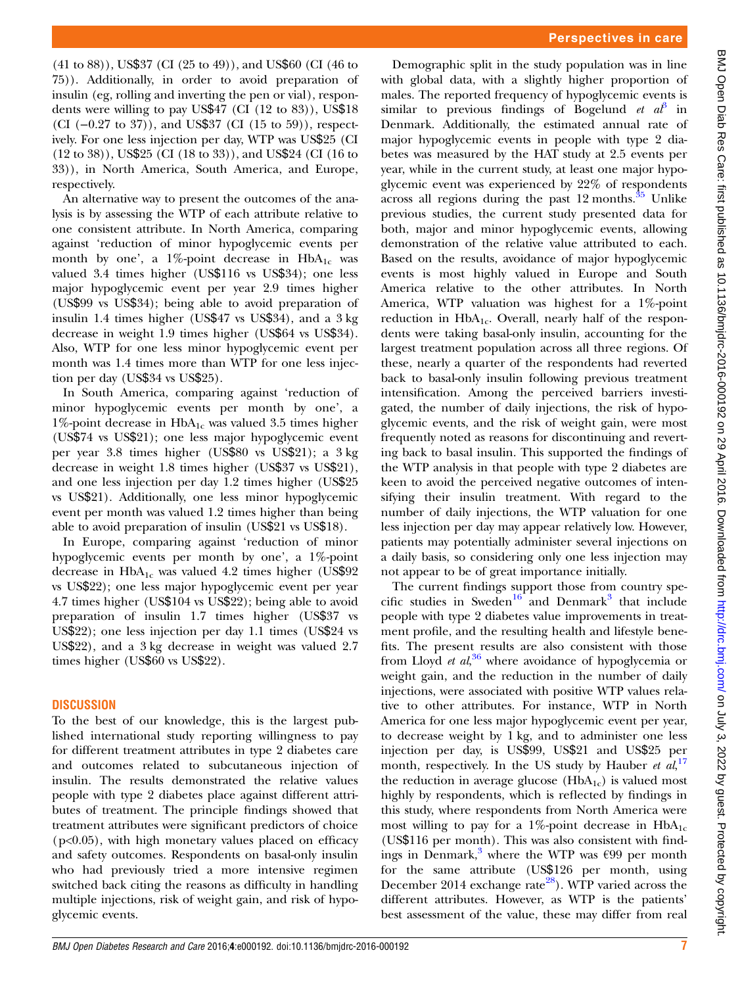(41 to 88)), US\$37 (CI (25 to 49)), and US\$60 (CI (46 to 75)). Additionally, in order to avoid preparation of insulin (eg, rolling and inverting the pen or vial), respondents were willing to pay US\$47 (CI (12 to 83)), US\$18 (CI (−0.27 to 37)), and US\$37 (CI (15 to 59)), respectively. For one less injection per day, WTP was US\$25 (CI (12 to 38)), US\$25 (CI (18 to 33)), and US\$24 (CI (16 to 33)), in North America, South America, and Europe, respectively.

An alternative way to present the outcomes of the analysis is by assessing the WTP of each attribute relative to one consistent attribute. In North America, comparing against 'reduction of minor hypoglycemic events per month by one', a 1%-point decrease in  $HbA_{1c}$  was valued 3.4 times higher (US\$116 vs US\$34); one less major hypoglycemic event per year 2.9 times higher (US\$99 vs US\$34); being able to avoid preparation of insulin 1.4 times higher (US\$47 vs US\$34), and a 3 kg decrease in weight 1.9 times higher (US\$64 vs US\$34). Also, WTP for one less minor hypoglycemic event per month was 1.4 times more than WTP for one less injection per day (US\$34 vs US\$25).

In South America, comparing against 'reduction of minor hypoglycemic events per month by one', a  $1\%$ -point decrease in HbA<sub>1c</sub> was valued 3.5 times higher (US\$74 vs US\$21); one less major hypoglycemic event per year 3.8 times higher (US\$80 vs US\$21); a 3 kg decrease in weight 1.8 times higher (US\$37 vs US\$21), and one less injection per day 1.2 times higher (US\$25 vs US\$21). Additionally, one less minor hypoglycemic event per month was valued 1.2 times higher than being able to avoid preparation of insulin (US\$21 vs US\$18).

In Europe, comparing against 'reduction of minor hypoglycemic events per month by one', a 1%-point decrease in  $HbA_{1c}$  was valued 4.2 times higher (US\$92) vs US\$22); one less major hypoglycemic event per year 4.7 times higher (US\$104 vs US\$22); being able to avoid preparation of insulin 1.7 times higher (US\$37 vs US\$22); one less injection per day 1.1 times (US\$24 vs US\$22), and a 3 kg decrease in weight was valued 2.7 times higher (US\$60 vs US\$22).

# **DISCUSSION**

To the best of our knowledge, this is the largest published international study reporting willingness to pay for different treatment attributes in type 2 diabetes care and outcomes related to subcutaneous injection of insulin. The results demonstrated the relative values people with type 2 diabetes place against different attributes of treatment. The principle findings showed that treatment attributes were significant predictors of choice  $(p<0.05)$ , with high monetary values placed on efficacy and safety outcomes. Respondents on basal-only insulin who had previously tried a more intensive regimen switched back citing the reasons as difficulty in handling multiple injections, risk of weight gain, and risk of hypoglycemic events.

Demographic split in the study population was in line with global data, with a slightly higher proportion of males. The reported frequency of hypoglycemic events is similar to previous findings of Bogelund et  $a\ddot{b}$  in Denmark. Additionally, the estimated annual rate of major hypoglycemic events in people with type 2 diabetes was measured by the HAT study at 2.5 events per year, while in the current study, at least one major hypoglycemic event was experienced by 22% of respondents across all regions during the past  $12$  months.<sup>[35](#page-8-0)</sup> Unlike previous studies, the current study presented data for both, major and minor hypoglycemic events, allowing demonstration of the relative value attributed to each. Based on the results, avoidance of major hypoglycemic events is most highly valued in Europe and South America relative to the other attributes. In North America, WTP valuation was highest for a 1%-point reduction in  $HbA_{1c}$ . Overall, nearly half of the respondents were taking basal-only insulin, accounting for the largest treatment population across all three regions. Of these, nearly a quarter of the respondents had reverted back to basal-only insulin following previous treatment intensification. Among the perceived barriers investigated, the number of daily injections, the risk of hypoglycemic events, and the risk of weight gain, were most frequently noted as reasons for discontinuing and reverting back to basal insulin. This supported the findings of the WTP analysis in that people with type 2 diabetes are keen to avoid the perceived negative outcomes of intensifying their insulin treatment. With regard to the number of daily injections, the WTP valuation for one less injection per day may appear relatively low. However, patients may potentially administer several injections on a daily basis, so considering only one less injection may not appear to be of great importance initially.

The current findings support those from country spe-cific studies in Sweden<sup>[16](#page-8-0)</sup> and Denmark<sup>[3](#page-8-0)</sup> that include people with type 2 diabetes value improvements in treatment profile, and the resulting health and lifestyle benefits. The present results are also consistent with those from Lloyd et al,<sup>[36](#page-8-0)</sup> where avoidance of hypoglycemia or weight gain, and the reduction in the number of daily injections, were associated with positive WTP values relative to other attributes. For instance, WTP in North America for one less major hypoglycemic event per year, to decrease weight by 1 kg, and to administer one less injection per day, is US\$99, US\$21 and US\$25 per month, respectively. In the US study by Hauber et  $al$ ,<sup>[17](#page-8-0)</sup> the reduction in average glucose  $(HbA_{1c})$  is valued most highly by respondents, which is reflected by findings in this study, where respondents from North America were most willing to pay for a 1%-point decrease in  $HbA_{1c}$ (US\$116 per month). This was also consistent with find-ings in Denmark,<sup>[3](#page-8-0)</sup> where the WTP was  $\epsilon$ 99 per month for the same attribute (US\$126 per month, using December 2014 exchange rate<sup>28</sup>). WTP varied across the different attributes. However, as WTP is the patients' best assessment of the value, these may differ from real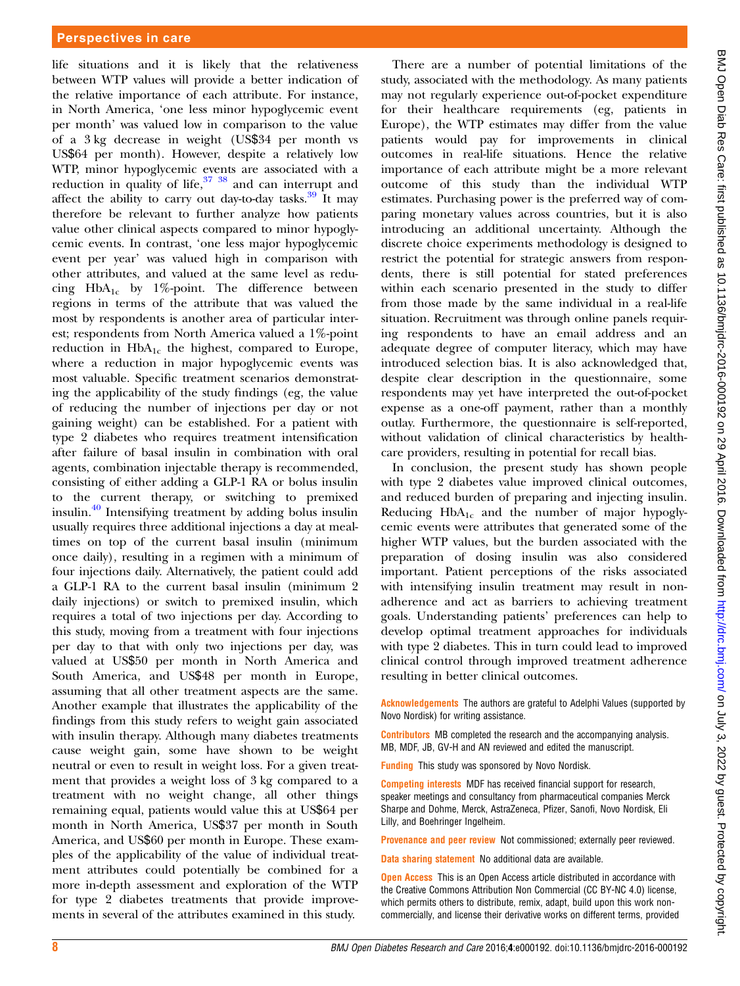#### Perspectives in care

life situations and it is likely that the relativeness between WTP values will provide a better indication of the relative importance of each attribute. For instance, in North America, 'one less minor hypoglycemic event per month' was valued low in comparison to the value of a 3 kg decrease in weight (US\$34 per month vs US\$64 per month). However, despite a relatively low WTP, minor hypoglycemic events are associated with a reduction in quality of life,  $37 \times 38$  and can interrupt and affect the ability to carry out day-to-day tasks.<sup>[39](#page-8-0)</sup> It may therefore be relevant to further analyze how patients value other clinical aspects compared to minor hypoglycemic events. In contrast, 'one less major hypoglycemic event per year' was valued high in comparison with other attributes, and valued at the same level as reducing  $HbA_{1c}$  by 1%-point. The difference between regions in terms of the attribute that was valued the most by respondents is another area of particular interest; respondents from North America valued a 1%-point reduction in  $HbA_{1c}$  the highest, compared to Europe, where a reduction in major hypoglycemic events was most valuable. Specific treatment scenarios demonstrating the applicability of the study findings (eg, the value of reducing the number of injections per day or not gaining weight) can be established. For a patient with type 2 diabetes who requires treatment intensification after failure of basal insulin in combination with oral agents, combination injectable therapy is recommended, consisting of either adding a GLP-1 RA or bolus insulin to the current therapy, or switching to premixed insulin.[40](#page-8-0) Intensifying treatment by adding bolus insulin usually requires three additional injections a day at mealtimes on top of the current basal insulin (minimum once daily), resulting in a regimen with a minimum of four injections daily. Alternatively, the patient could add a GLP-1 RA to the current basal insulin (minimum 2 daily injections) or switch to premixed insulin, which requires a total of two injections per day. According to this study, moving from a treatment with four injections per day to that with only two injections per day, was valued at US\$50 per month in North America and South America, and US\$48 per month in Europe, assuming that all other treatment aspects are the same. Another example that illustrates the applicability of the findings from this study refers to weight gain associated with insulin therapy. Although many diabetes treatments cause weight gain, some have shown to be weight neutral or even to result in weight loss. For a given treatment that provides a weight loss of 3 kg compared to a treatment with no weight change, all other things remaining equal, patients would value this at US\$64 per month in North America, US\$37 per month in South America, and US\$60 per month in Europe. These examples of the applicability of the value of individual treatment attributes could potentially be combined for a more in-depth assessment and exploration of the WTP for type 2 diabetes treatments that provide improvements in several of the attributes examined in this study.

There are a number of potential limitations of the study, associated with the methodology. As many patients may not regularly experience out-of-pocket expenditure for their healthcare requirements (eg, patients in Europe), the WTP estimates may differ from the value patients would pay for improvements in clinical outcomes in real-life situations. Hence the relative importance of each attribute might be a more relevant outcome of this study than the individual WTP estimates. Purchasing power is the preferred way of comparing monetary values across countries, but it is also introducing an additional uncertainty. Although the discrete choice experiments methodology is designed to restrict the potential for strategic answers from respondents, there is still potential for stated preferences within each scenario presented in the study to differ from those made by the same individual in a real-life situation. Recruitment was through online panels requiring respondents to have an email address and an adequate degree of computer literacy, which may have introduced selection bias. It is also acknowledged that, despite clear description in the questionnaire, some respondents may yet have interpreted the out-of-pocket expense as a one-off payment, rather than a monthly outlay. Furthermore, the questionnaire is self-reported, without validation of clinical characteristics by healthcare providers, resulting in potential for recall bias.

In conclusion, the present study has shown people with type 2 diabetes value improved clinical outcomes, and reduced burden of preparing and injecting insulin. Reducing  $HbA_{1c}$  and the number of major hypoglycemic events were attributes that generated some of the higher WTP values, but the burden associated with the preparation of dosing insulin was also considered important. Patient perceptions of the risks associated with intensifying insulin treatment may result in nonadherence and act as barriers to achieving treatment goals. Understanding patients' preferences can help to develop optimal treatment approaches for individuals with type 2 diabetes. This in turn could lead to improved clinical control through improved treatment adherence resulting in better clinical outcomes.

Acknowledgements The authors are grateful to Adelphi Values (supported by Novo Nordisk) for writing assistance.

Contributors MB completed the research and the accompanying analysis. MB, MDF, JB, GV-H and AN reviewed and edited the manuscript.

Funding This study was sponsored by Novo Nordisk.

Competing interests MDF has received financial support for research, speaker meetings and consultancy from pharmaceutical companies Merck Sharpe and Dohme, Merck, AstraZeneca, Pfizer, Sanofi, Novo Nordisk, Eli Lilly, and Boehringer Ingelheim.

Provenance and peer review Not commissioned; externally peer reviewed.

Data sharing statement No additional data are available.

**Open Access** This is an Open Access article distributed in accordance with the Creative Commons Attribution Non Commercial (CC BY-NC 4.0) license, which permits others to distribute, remix, adapt, build upon this work noncommercially, and license their derivative works on different terms, provided